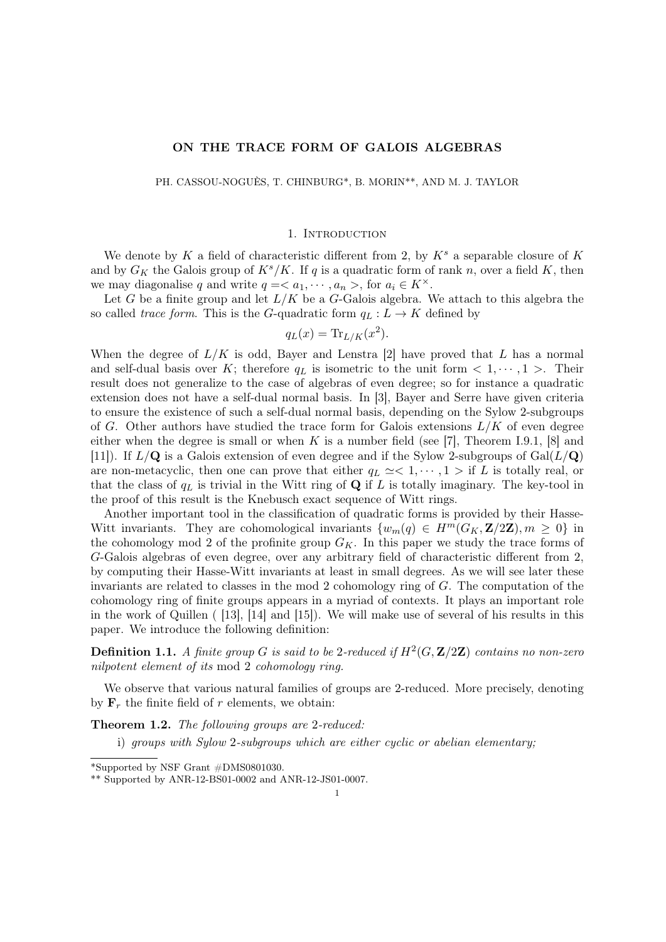# ON THE TRACE FORM OF GALOIS ALGEBRAS

PH. CASSOU-NOGUÈS, T. CHINBURG\*, B. MORIN\*\*, AND M. J. TAYLOR

### 1. INTRODUCTION

We denote by K a field of characteristic different from 2, by  $K^s$  a separable closure of K and by  $G_K$  the Galois group of  $K^s/K$ . If q is a quadratic form of rank n, over a field K, then we may diagonalise q and write  $q = \langle a_1, \dots, a_n \rangle$ , for  $a_i \in K^\times$ .

Let G be a finite group and let  $L/K$  be a G-Galois algebra. We attach to this algebra the so called trace form. This is the G-quadratic form  $q_L : L \to K$  defined by

$$
q_L(x) = \text{Tr}_{L/K}(x^2).
$$

When the degree of  $L/K$  is odd, Bayer and Lenstra [2] have proved that L has a normal and self-dual basis over K; therefore  $q_L$  is isometric to the unit form  $\langle 1, \dots, 1 \rangle$ . Their result does not generalize to the case of algebras of even degree; so for instance a quadratic extension does not have a self-dual normal basis. In [3], Bayer and Serre have given criteria to ensure the existence of such a self-dual normal basis, depending on the Sylow 2-subgroups of G. Other authors have studied the trace form for Galois extensions  $L/K$  of even degree either when the degree is small or when K is a number field (see [7], Theorem I.9.1, [8] and [11]). If  $L/\mathbf{Q}$  is a Galois extension of even degree and if the Sylow 2-subgroups of  $Gal(L/\mathbf{Q})$ are non-metacyclic, then one can prove that either  $q_L \simeq 1, \dots, 1 >$  if L is totally real, or that the class of  $q_L$  is trivial in the Witt ring of Q if L is totally imaginary. The key-tool in the proof of this result is the Knebusch exact sequence of Witt rings.

Another important tool in the classification of quadratic forms is provided by their Hasse-Witt invariants. They are cohomological invariants  $\{w_m(q) \in H^m(G_K, \mathbf{Z}/2\mathbf{Z}), m \geq 0\}$  in the cohomology mod 2 of the profinite group  $G_K$ . In this paper we study the trace forms of G-Galois algebras of even degree, over any arbitrary field of characteristic different from 2, by computing their Hasse-Witt invariants at least in small degrees. As we will see later these invariants are related to classes in the mod 2 cohomology ring of G. The computation of the cohomology ring of finite groups appears in a myriad of contexts. It plays an important role in the work of Quillen ( [13], [14] and [15]). We will make use of several of his results in this paper. We introduce the following definition:

**Definition 1.1.** A finite group G is said to be 2-reduced if  $H^2(G, \mathbf{Z}/2\mathbf{Z})$  contains no non-zero nilpotent element of its mod 2 cohomology ring.

We observe that various natural families of groups are 2-reduced. More precisely, denoting by  $\mathbf{F}_r$  the finite field of r elements, we obtain:

Theorem 1.2. The following groups are 2-reduced:

i) groups with Sylow 2-subgroups which are either cyclic or abelian elementary;

<sup>\*</sup>Supported by NSF Grant #DMS0801030.

<sup>\*\*</sup> Supported by ANR-12-BS01-0002 and ANR-12-JS01-0007.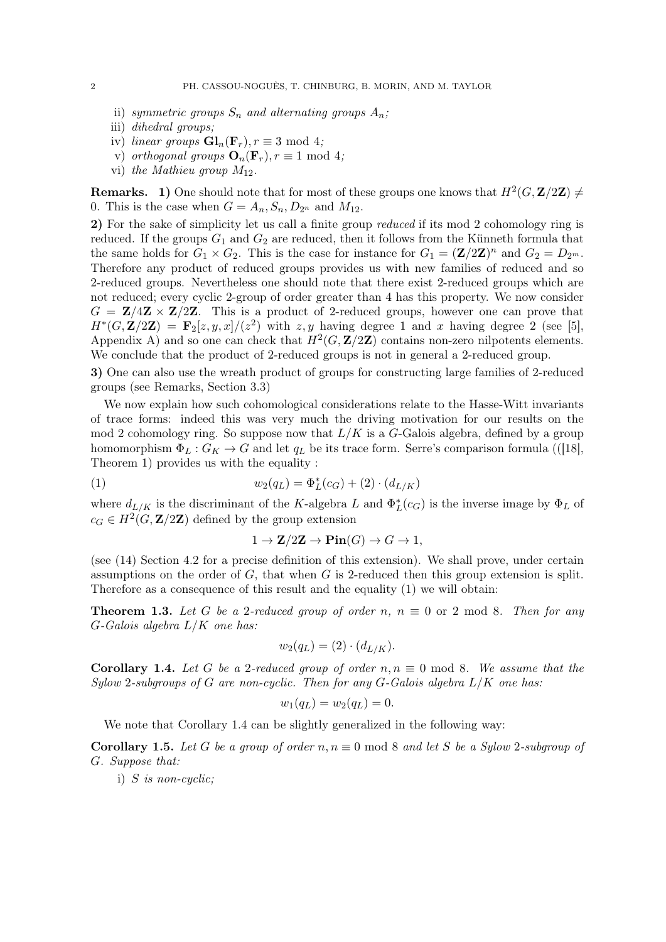- ii) symmetric groups  $S_n$  and alternating groups  $A_n$ ;
- iii) dihedral groups;
- iv) linear groups  $\mathbf{Gl}_n(\mathbf{F}_r), r \equiv 3 \text{ mod } 4;$
- v) orthogonal groups  $\mathbf{O}_n(\mathbf{F}_r), r \equiv 1 \mod 4;$
- vi) the Mathieu group  $M_{12}$ .

**Remarks.** 1) One should note that for most of these groups one knows that  $H^2(G, \mathbf{Z}/2\mathbf{Z}) \neq 0$ 0. This is the case when  $G = A_n, S_n, D_{2^n}$  and  $M_{12}$ .

2) For the sake of simplicity let us call a finite group *reduced* if its mod 2 cohomology ring is reduced. If the groups  $G_1$  and  $G_2$  are reduced, then it follows from the Künneth formula that the same holds for  $G_1 \times G_2$ . This is the case for instance for  $G_1 = (\mathbf{Z}/2\mathbf{Z})^n$  and  $G_2 = D_{2^m}$ . Therefore any product of reduced groups provides us with new families of reduced and so 2-reduced groups. Nevertheless one should note that there exist 2-reduced groups which are not reduced; every cyclic 2-group of order greater than 4 has this property. We now consider  $G = \mathbf{Z}/4\mathbf{Z} \times \mathbf{Z}/2\mathbf{Z}$ . This is a product of 2-reduced groups, however one can prove that  $H^*(G, \mathbf{Z}/2\mathbf{Z}) = \mathbf{F}_2[z, y, x]/(z^2)$  with  $z, y$  having degree 1 and x having degree 2 (see [5], Appendix A) and so one can check that  $H^2(G, \mathbf{Z}/2\mathbf{Z})$  contains non-zero nilpotents elements. We conclude that the product of 2-reduced groups is not in general a 2-reduced group.

3) One can also use the wreath product of groups for constructing large families of 2-reduced groups (see Remarks, Section 3.3)

We now explain how such cohomological considerations relate to the Hasse-Witt invariants of trace forms: indeed this was very much the driving motivation for our results on the mod 2 cohomology ring. So suppose now that  $L/K$  is a G-Galois algebra, defined by a group homomorphism  $\Phi_L: G_K \to G$  and let  $q_L$  be its trace form. Serre's comparison formula (([18], Theorem 1) provides us with the equality :

(1) 
$$
w_2(q_L) = \Phi_L^*(c_G) + (2) \cdot (d_{L/K})
$$

where  $d_{L/K}$  is the discriminant of the K-algebra L and  $\Phi_L^*(c_G)$  is the inverse image by  $\Phi_L$  of  $c_G \in H^2(G, \mathbf{Z}/2\mathbf{Z})$  defined by the group extension

$$
1 \to \mathbf{Z}/2\mathbf{Z} \to \operatorname{Pin}(G) \to G \to 1,
$$

(see (14) Section 4.2 for a precise definition of this extension). We shall prove, under certain assumptions on the order of  $G$ , that when  $G$  is 2-reduced then this group extension is split. Therefore as a consequence of this result and the equality (1) we will obtain:

**Theorem 1.3.** Let G be a 2-reduced group of order n,  $n \equiv 0$  or 2 mod 8. Then for any  $G$ -Galois algebra  $L/K$  one has:

$$
w_2(q_L) = (2) \cdot (d_{L/K}).
$$

**Corollary 1.4.** Let G be a 2-reduced group of order  $n, n \equiv 0 \mod 8$ . We assume that the Sylow 2-subgroups of G are non-cyclic. Then for any  $G$ -Galois algebra  $L/K$  one has:

$$
w_1(q_L) = w_2(q_L) = 0.
$$

We note that Corollary 1.4 can be slightly generalized in the following way:

**Corollary 1.5.** Let G be a group of order  $n, n \equiv 0 \mod 8$  and let S be a Sylow 2-subgroup of G. Suppose that:

i) S is non-cyclic;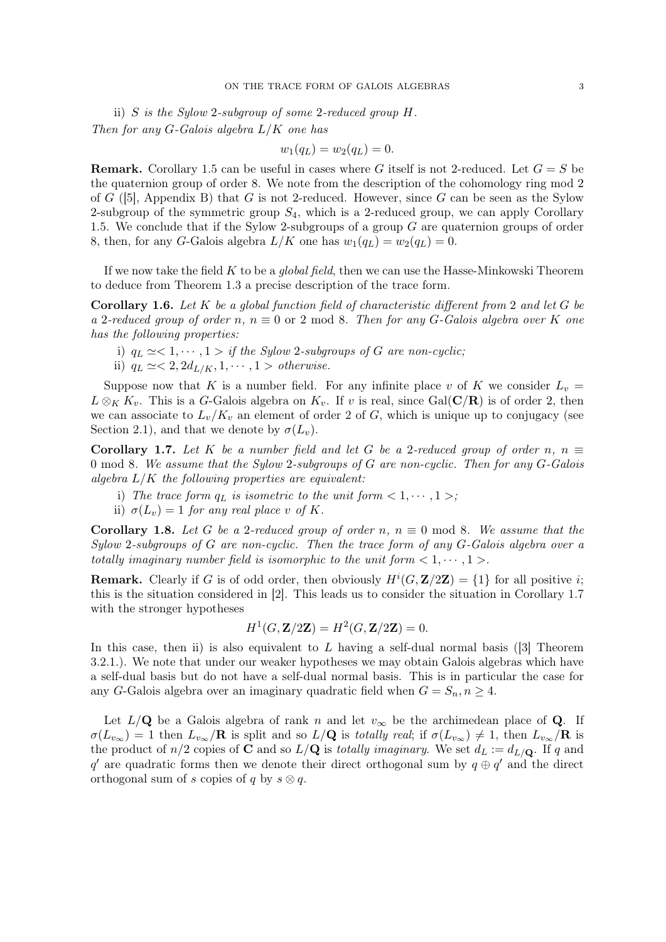ii) S is the Sylow 2-subgroup of some 2-reduced group H. Then for any  $G$ -Galois algebra  $L/K$  one has

$$
w_1(q_L) = w_2(q_L) = 0.
$$

**Remark.** Corollary 1.5 can be useful in cases where G itself is not 2-reduced. Let  $G = S$  be the quaternion group of order 8. We note from the description of the cohomology ring mod 2 of  $G$  ([5], Appendix B) that  $G$  is not 2-reduced. However, since  $G$  can be seen as the Sylow 2-subgroup of the symmetric group  $S_4$ , which is a 2-reduced group, we can apply Corollary 1.5. We conclude that if the Sylow 2-subgroups of a group  $G$  are quaternion groups of order 8, then, for any G-Galois algebra  $L/K$  one has  $w_1(q_L) = w_2(q_L) = 0$ .

If we now take the field  $K$  to be a *global field*, then we can use the Hasse-Minkowski Theorem to deduce from Theorem 1.3 a precise description of the trace form.

**Corollary 1.6.** Let  $K$  be a global function field of characteristic different from 2 and let  $G$  be a 2-reduced group of order n,  $n \equiv 0$  or 2 mod 8. Then for any G-Galois algebra over K one has the following properties:

- i)  $q_L \simeq < 1, \cdots, 1 >$  if the Sylow 2-subgroups of G are non-cyclic;
- ii)  $q_L \simeq < 2, 2d_{L/K}, 1, \cdots, 1 > \text{otherwise.}$

Suppose now that K is a number field. For any infinite place v of K we consider  $L_v =$  $L \otimes_K K_v$ . This is a G-Galois algebra on  $K_v$ . If v is real, since Gal( $\mathbb{C}/\mathbb{R}$ ) is of order 2, then we can associate to  $L_v/K_v$  an element of order 2 of G, which is unique up to conjugacy (see Section 2.1), and that we denote by  $\sigma(L_v)$ .

Corollary 1.7. Let K be a number field and let G be a 2-reduced group of order n,  $n \equiv$ 0 mod 8. We assume that the Sylow 2-subgroups of G are non-cyclic. Then for any G-Galois algebra  $L/K$  the following properties are equivalent:

- i) The trace form  $q_L$  is isometric to the unit form  $\langle 1, \dots, 1 \rangle$ ;
- ii)  $\sigma(L_v) = 1$  for any real place v of K.

**Corollary 1.8.** Let G be a 2-reduced group of order n,  $n \equiv 0 \mod 8$ . We assume that the Sylow 2-subgroups of G are non-cyclic. Then the trace form of any G-Galois algebra over a totally imaginary number field is isomorphic to the unit form  $\langle 1, \dots, 1 \rangle$ .

**Remark.** Clearly if G is of odd order, then obviously  $H^{i}(G, \mathbf{Z}/2\mathbf{Z}) = \{1\}$  for all positive *i*; this is the situation considered in [2]. This leads us to consider the situation in Corollary 1.7 with the stronger hypotheses

$$
H^1(G, \mathbf{Z}/2\mathbf{Z}) = H^2(G, \mathbf{Z}/2\mathbf{Z}) = 0.
$$

In this case, then ii) is also equivalent to  $L$  having a self-dual normal basis ([3] Theorem 3.2.1.). We note that under our weaker hypotheses we may obtain Galois algebras which have a self-dual basis but do not have a self-dual normal basis. This is in particular the case for any G-Galois algebra over an imaginary quadratic field when  $G = S_n$ ,  $n \geq 4$ .

Let  $L/\mathbf{Q}$  be a Galois algebra of rank n and let  $v_{\infty}$  be the archimedean place of **Q**. If  $\sigma(L_{v_{\infty}}) = 1$  then  $L_{v_{\infty}}/R$  is split and so  $L/Q$  is totally real; if  $\sigma(L_{v_{\infty}}) \neq 1$ , then  $L_{v_{\infty}}/R$  is the product of  $n/2$  copies of **C** and so  $L/\mathbf{Q}$  is totally imaginary. We set  $d_L := d_{L/\mathbf{Q}}$ . If q and q' are quadratic forms then we denote their direct orthogonal sum by  $q \oplus q'$  and the direct orthogonal sum of s copies of q by  $s \otimes q$ .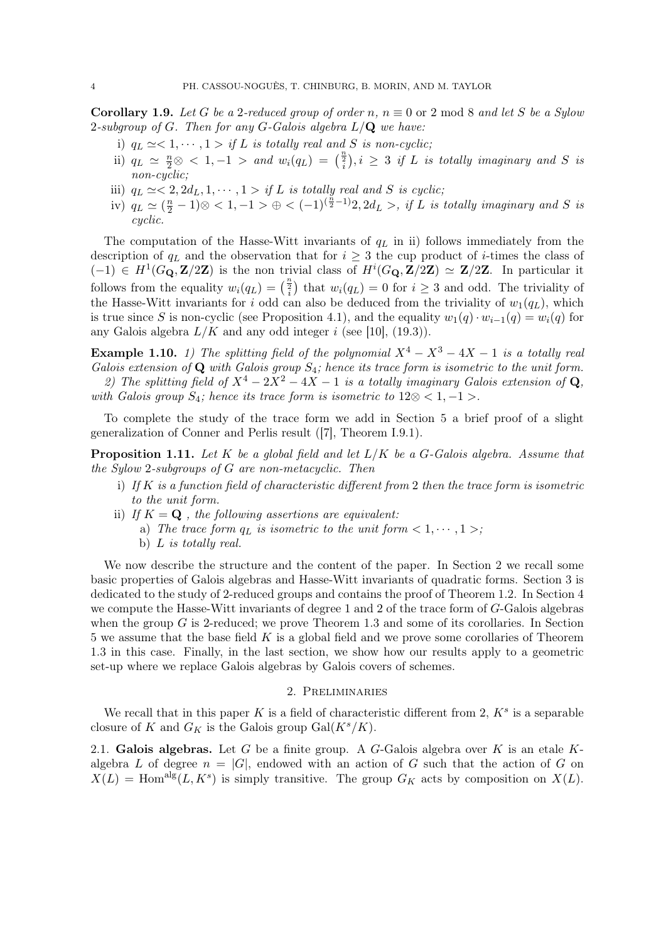**Corollary 1.9.** Let G be a 2-reduced group of order n,  $n \equiv 0$  or 2 mod 8 and let S be a Sylow 2-subgroup of G. Then for any G-Galois algebra  $L/\mathbf{Q}$  we have:

- i)  $q_L \simeq < 1, \cdots, 1 > if L$  is totally real and S is non-cyclic;
- ii)  $q_L \approx \frac{n}{2} \otimes 1, -1$  > and  $w_i(q_L) = \left(\frac{n}{i}\right), i \geq 3$  if L is totally imaginary and S is non-cyclic;
- iii)  $q_L \simeq < 2, 2d_L, 1, \cdots, 1 > if L$  is totally real and S is cyclic;
- iv)  $q_L \simeq (\frac{n}{2} 1) \otimes < 1, -1 > \oplus < (-1)^{(\frac{n}{2} 1)} 2, 2d_L >$ , if L is totally imaginary and S is cyclic.

The computation of the Hasse-Witt invariants of  $q<sub>L</sub>$  in ii) follows immediately from the description of  $q_L$  and the observation that for  $i \geq 3$  the cup product of *i*-times the class of  $(-1) \in H^1(G_{\mathbf{Q}}, \mathbf{Z}/2\mathbf{Z})$  is the non trivial class of  $H^i(G_{\mathbf{Q}}, \mathbf{Z}/2\mathbf{Z}) \simeq \mathbf{Z}/2\mathbf{Z}$ . In particular it follows from the equality  $w_i(q_L) = \binom{\frac{n}{2}}{2}$  that  $w_i(q_L) = 0$  for  $i \geq 3$  and odd. The triviality of the Hasse-Witt invariants for i odd can also be deduced from the triviality of  $w_1(q_L)$ , which is true since S is non-cyclic (see Proposition 4.1), and the equality  $w_1(q) \cdot w_{i-1}(q) = w_i(q)$  for any Galois algebra  $L/K$  and any odd integer i (see [10], (19.3)).

**Example 1.10.** 1) The splitting field of the polynomial  $X^4 - X^3 - 4X - 1$  is a totally real Galois extension of  $\bf{Q}$  with Galois group  $S_4$ ; hence its trace form is isometric to the unit form.

2) The splitting field of  $X^4 - 2X^2 - 4X - 1$  is a totally imaginary Galois extension of Q, with Galois group  $S_4$ ; hence its trace form is isometric to  $12 \otimes <1, -1>$ .

To complete the study of the trace form we add in Section 5 a brief proof of a slight generalization of Conner and Perlis result ([7], Theorem I.9.1).

**Proposition 1.11.** Let K be a global field and let  $L/K$  be a G-Galois algebra. Assume that the Sylow 2-subgroups of G are non-metacyclic. Then

- i) If  $K$  is a function field of characteristic different from 2 then the trace form is isometric to the unit form.
- ii) If  $K = \mathbf{Q}$ , the following assertions are equivalent:
	- a) The trace form  $q_L$  is isometric to the unit form  $\langle 1, \dots, 1 \rangle$ ;
	- b) L is totally real.

We now describe the structure and the content of the paper. In Section 2 we recall some basic properties of Galois algebras and Hasse-Witt invariants of quadratic forms. Section 3 is dedicated to the study of 2-reduced groups and contains the proof of Theorem 1.2. In Section 4 we compute the Hasse-Witt invariants of degree 1 and 2 of the trace form of G-Galois algebras when the group  $G$  is 2-reduced; we prove Theorem 1.3 and some of its corollaries. In Section 5 we assume that the base field  $K$  is a global field and we prove some corollaries of Theorem 1.3 in this case. Finally, in the last section, we show how our results apply to a geometric set-up where we replace Galois algebras by Galois covers of schemes.

# 2. Preliminaries

We recall that in this paper K is a field of characteristic different from 2,  $K^s$  is a separable closure of K and  $G_K$  is the Galois group  $Gal(K^s/K)$ .

2.1. Galois algebras. Let G be a finite group. A G-Galois algebra over K is an etale  $K$ algebra L of degree  $n = |G|$ , endowed with an action of G such that the action of G on  $X(L) =$  Hom<sup>alg</sup> $(L, K^s)$  is simply transitive. The group  $G_K$  acts by composition on  $X(L)$ .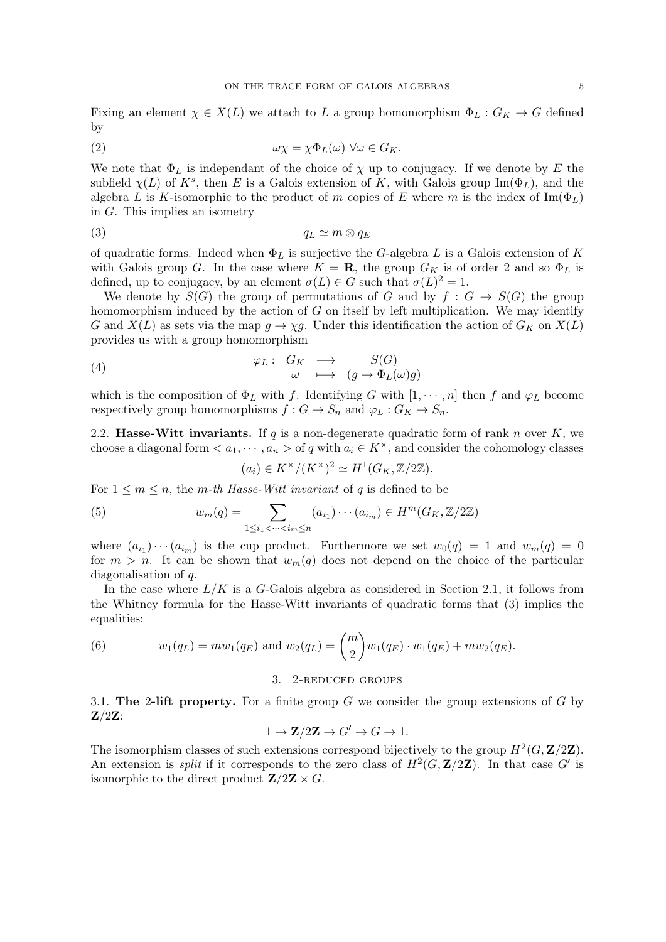Fixing an element  $\chi \in X(L)$  we attach to L a group homomorphism  $\Phi_L : G_K \to G$  defined by

(2) 
$$
\omega \chi = \chi \Phi_L(\omega) \,\forall \omega \in G_K.
$$

We note that  $\Phi_L$  is independant of the choice of  $\chi$  up to conjugacy. If we denote by E the subfield  $\chi(L)$  of  $K^s$ , then E is a Galois extension of K, with Galois group Im( $\Phi_L$ ), and the algebra L is K-isomorphic to the product of m copies of E where m is the index of  $\text{Im}(\Phi_L)$ in G. This implies an isometry

$$
(3) \t\t q_L \simeq m \otimes q_E
$$

of quadratic forms. Indeed when  $\Phi_L$  is surjective the G-algebra L is a Galois extension of K with Galois group G. In the case where  $K = \mathbf{R}$ , the group  $G_K$  is of order 2 and so  $\Phi_L$  is defined, up to conjugacy, by an element  $\sigma(L) \in G$  such that  $\sigma(L)^2 = 1$ .

We denote by  $S(G)$  the group of permutations of G and by  $f : G \to S(G)$  the group homomorphism induced by the action of  $G$  on itself by left multiplication. We may identify G and  $X(L)$  as sets via the map  $g \to \chi g$ . Under this identification the action of  $G_K$  on  $X(L)$ provides us with a group homomorphism

(4) 
$$
\varphi_L: G_K \longrightarrow S(G)
$$

$$
\omega \longmapsto (g \to \Phi_L(\omega)g)
$$

which is the composition of  $\Phi_L$  with f. Identifying G with  $[1, \dots, n]$  then f and  $\varphi_L$  become respectively group homomorphisms  $f: G \to S_n$  and  $\varphi_L: G_K \to S_n$ .

2.2. Hasse-Witt invariants. If q is a non-degenerate quadratic form of rank n over  $K$ , we choose a diagonal form  $\lt a_1, \cdots, a_n >$  of q with  $a_i \in K^\times$ , and consider the cohomology classes

$$
(a_i) \in K^{\times}/(K^{\times})^2 \simeq H^1(G_K, \mathbb{Z}/2\mathbb{Z}).
$$

For  $1 \leq m \leq n$ , the m-th Hasse-Witt invariant of q is defined to be

(5) 
$$
w_m(q) = \sum_{1 \le i_1 < \dots < i_m \le n} (a_{i_1}) \cdots (a_{i_m}) \in H^m(G_K, \mathbb{Z}/2\mathbb{Z})
$$

where  $(a_{i_1}) \cdots (a_{i_m})$  is the cup product. Furthermore we set  $w_0(q) = 1$  and  $w_m(q) = 0$ for  $m > n$ . It can be shown that  $w_m(q)$  does not depend on the choice of the particular diagonalisation of q.

In the case where  $L/K$  is a G-Galois algebra as considered in Section 2.1, it follows from the Whitney formula for the Hasse-Witt invariants of quadratic forms that (3) implies the equalities:

(6) 
$$
w_1(q_L) = m w_1(q_E)
$$
 and  $w_2(q_L) = {m \choose 2} w_1(q_E) \cdot w_1(q_E) + m w_2(q_E)$ .

### 3. 2-reduced groups

3.1. The 2-lift property. For a finite group  $G$  we consider the group extensions of  $G$  by  $\mathbf{Z}/2\mathbf{Z}$ :

$$
1 \to \mathbf{Z}/2\mathbf{Z} \to G' \to G \to 1.
$$

The isomorphism classes of such extensions correspond bijectively to the group  $H^2(G, \mathbf{Z}/2\mathbf{Z})$ . An extension is *split* if it corresponds to the zero class of  $H^2(G, \mathbf{Z}/2\mathbf{Z})$ . In that case G' is isomorphic to the direct product  $\mathbf{Z}/2\mathbf{Z} \times G$ .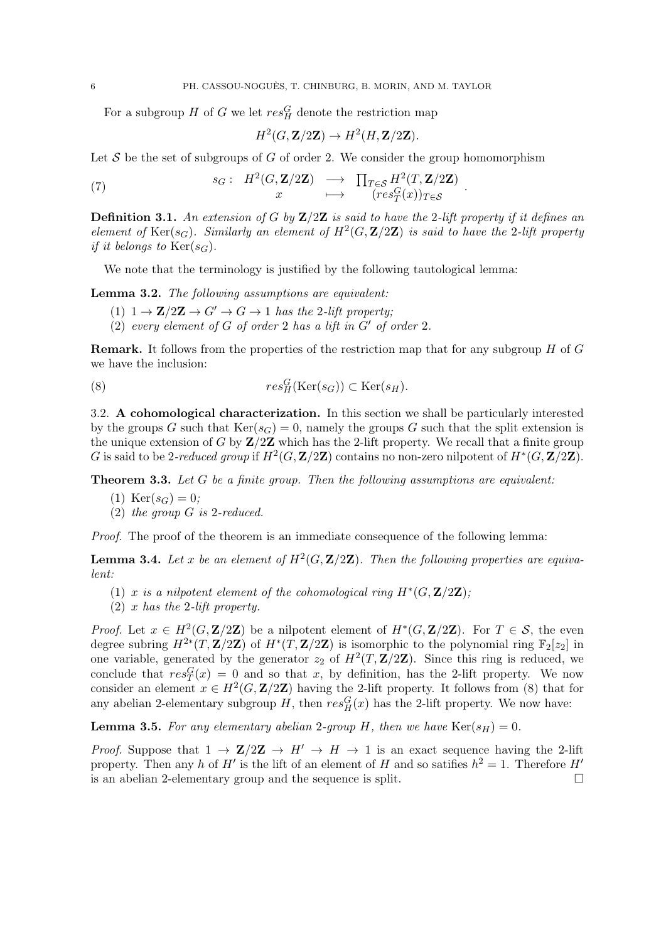For a subgroup H of G we let  $res_H^G$  denote the restriction map

$$
H^2(G, \mathbf{Z}/2\mathbf{Z}) \to H^2(H, \mathbf{Z}/2\mathbf{Z}).
$$

Let  $S$  be the set of subgroups of  $G$  of order 2. We consider the group homomorphism

(7) 
$$
s_G: H^2(G, \mathbf{Z}/2\mathbf{Z}) \longrightarrow \prod_{T \in \mathcal{S}} H^2(T, \mathbf{Z}/2\mathbf{Z})
$$

$$
x \longmapsto (res_T^G(x))_{T \in \mathcal{S}}
$$

**Definition 3.1.** An extension of G by  $\mathbb{Z}/2\mathbb{Z}$  is said to have the 2-lift property if it defines an element of  $\text{Ker}(s_G)$ . Similarly an element of  $H^2(G, \mathbf{Z}/2\mathbf{Z})$  is said to have the 2-lift property if it belongs to  $\text{Ker}(s_G)$ .

.

We note that the terminology is justified by the following tautological lemma:

Lemma 3.2. The following assumptions are equivalent:

- (1)  $1 \rightarrow \mathbb{Z}/2\mathbb{Z} \rightarrow G' \rightarrow G \rightarrow 1$  has the 2-lift property;
- (2) every element of G of order 2 has a lift in  $G'$  of order 2.

**Remark.** It follows from the properties of the restriction map that for any subgroup  $H$  of  $G$ we have the inclusion:

(8) 
$$
res_H^G(\text{Ker}(s_G)) \subset \text{Ker}(s_H).
$$

3.2. A cohomological characterization. In this section we shall be particularly interested by the groups G such that  $Ker(s_G) = 0$ , namely the groups G such that the split extension is the unique extension of G by  $\mathbb{Z}/2\mathbb{Z}$  which has the 2-lift property. We recall that a finite group G is said to be 2-reduced group if  $H^2(G, \mathbf{Z}/2\mathbf{Z})$  contains no non-zero nilpotent of  $H^*(G, \mathbf{Z}/2\mathbf{Z})$ .

**Theorem 3.3.** Let  $G$  be a finite group. Then the following assumptions are equivalent:

- (1)  $Ker(s_G) = 0$ ;
- (2) the group G is 2-reduced.

Proof. The proof of the theorem is an immediate consequence of the following lemma:

**Lemma 3.4.** Let x be an element of  $H^2(G, \mathbf{Z}/2\mathbf{Z})$ . Then the following properties are equivalent:

- (1) x is a nilpotent element of the cohomological ring  $H^*(G, \mathbf{Z}/2\mathbf{Z})$ ;
- (2) x has the 2-lift property.

*Proof.* Let  $x \in H^2(G, \mathbf{Z}/2\mathbf{Z})$  be a nilpotent element of  $H^*(G, \mathbf{Z}/2\mathbf{Z})$ . For  $T \in \mathcal{S}$ , the even degree subring  $H^{2*}(T,\mathbf{Z}/2\mathbf{Z})$  of  $H^{*}(T,\mathbf{Z}/2\mathbf{Z})$  is isomorphic to the polynomial ring  $\mathbb{F}_{2}[z_{2}]$  in one variable, generated by the generator  $z_2$  of  $H^2(T, \mathbf{Z}/2\mathbf{Z})$ . Since this ring is reduced, we conclude that  $res_T^G(x) = 0$  and so that x, by definition, has the 2-lift property. We now consider an element  $x \in H^2(G, \mathbf{Z}/2\mathbf{Z})$  having the 2-lift property. It follows from (8) that for any abelian 2-elementary subgroup  $H$ , then  $res_H^G(x)$  has the 2-lift property. We now have:

**Lemma 3.5.** For any elementary abelian 2-group H, then we have  $\text{Ker}(s_H) = 0$ .

*Proof.* Suppose that  $1 \rightarrow \mathbb{Z}/2\mathbb{Z} \rightarrow H' \rightarrow H \rightarrow 1$  is an exact sequence having the 2-lift property. Then any h of H' is the lift of an element of H and so satifies  $h^2 = 1$ . Therefore H' is an abelian 2-elementary group and the sequence is split.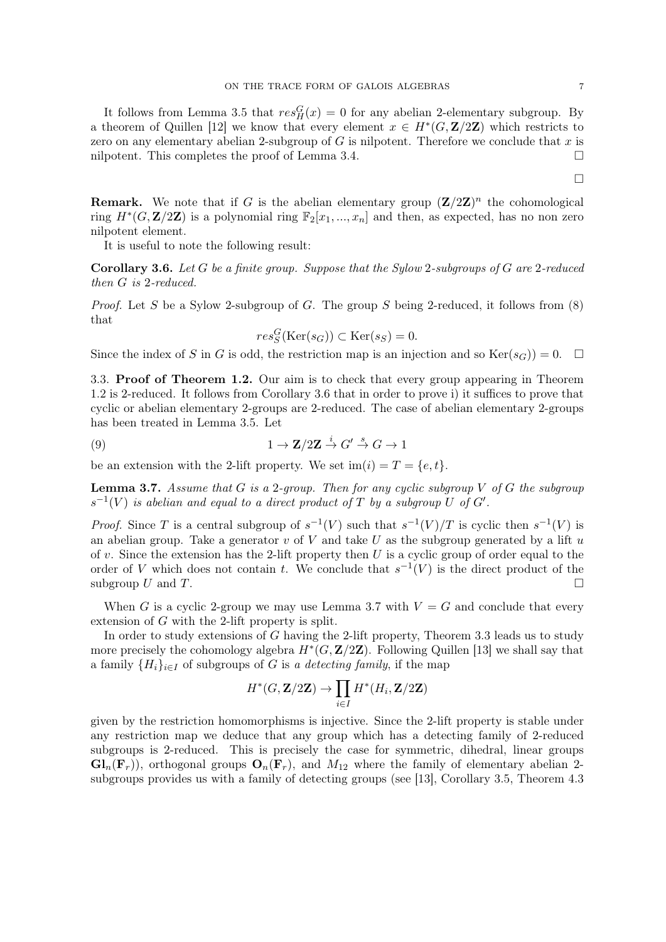It follows from Lemma 3.5 that  $res_H^G(x) = 0$  for any abelian 2-elementary subgroup. By a theorem of Quillen [12] we know that every element  $x \in H^*(G, \mathbf{Z}/2\mathbf{Z})$  which restricts to zero on any elementary abelian 2-subgroup of  $G$  is nilpotent. Therefore we conclude that  $x$  is nilpotent. This completes the proof of Lemma 3.4.  $\Box$ 

**Remark.** We note that if G is the abelian elementary group  $(\mathbf{Z}/2\mathbf{Z})^n$  the cohomological ring  $H^*(G, \mathbf{Z}/2\mathbf{Z})$  is a polynomial ring  $\mathbb{F}_2[x_1, ..., x_n]$  and then, as expected, has no non zero nilpotent element.

It is useful to note the following result:

**Corollary 3.6.** Let  $G$  be a finite group. Suppose that the Sylow 2-subgroups of  $G$  are 2-reduced then G is 2-reduced.

*Proof.* Let S be a Sylow 2-subgroup of G. The group S being 2-reduced, it follows from  $(8)$ that

$$
res_S^G(\text{Ker}(s_G)) \subset \text{Ker}(s_S) = 0.
$$

Since the index of S in G is odd, the restriction map is an injection and so  $\text{Ker}(s_G)$ ) = 0.  $\Box$ 

3.3. Proof of Theorem 1.2. Our aim is to check that every group appearing in Theorem 1.2 is 2-reduced. It follows from Corollary 3.6 that in order to prove i) it suffices to prove that cyclic or abelian elementary 2-groups are 2-reduced. The case of abelian elementary 2-groups has been treated in Lemma 3.5. Let

(9) 
$$
1 \to \mathbf{Z}/2\mathbf{Z} \stackrel{i}{\to} G' \stackrel{s}{\to} G \to 1
$$

be an extension with the 2-lift property. We set  $\text{im}(i) = T = \{e, t\}.$ 

**Lemma 3.7.** Assume that G is a 2-group. Then for any cyclic subgroup V of G the subgroup  $s^{-1}(V)$  is abelian and equal to a direct product of T by a subgroup U of G'.

*Proof.* Since T is a central subgroup of  $s^{-1}(V)$  such that  $s^{-1}(V)/T$  is cyclic then  $s^{-1}(V)$  is an abelian group. Take a generator v of V and take U as the subgroup generated by a lift  $u$ of  $v$ . Since the extension has the 2-lift property then  $U$  is a cyclic group of order equal to the order of V which does not contain t. We conclude that  $s^{-1}(V)$  is the direct product of the subgroup U and T.

When G is a cyclic 2-group we may use Lemma 3.7 with  $V = G$  and conclude that every extension of G with the 2-lift property is split.

In order to study extensions of G having the 2-lift property, Theorem 3.3 leads us to study more precisely the cohomology algebra  $H^*(G, \mathbf{Z}/2\mathbf{Z})$ . Following Quillen [13] we shall say that a family  $\{H_i\}_{i\in I}$  of subgroups of G is a detecting family, if the map

$$
H^*(G,{\bf Z}/2{\bf Z})\to \prod_{i\in I} H^*(H_i,{\bf Z}/2{\bf Z})
$$

given by the restriction homomorphisms is injective. Since the 2-lift property is stable under any restriction map we deduce that any group which has a detecting family of 2-reduced subgroups is 2-reduced. This is precisely the case for symmetric, dihedral, linear groups  $\mathbf{Gl}_n(\mathbf{F}_r)$ , orthogonal groups  $\mathbf{O}_n(\mathbf{F}_r)$ , and  $M_{12}$  where the family of elementary abelian 2subgroups provides us with a family of detecting groups (see [13], Corollary 3.5, Theorem 4.3

 $\Box$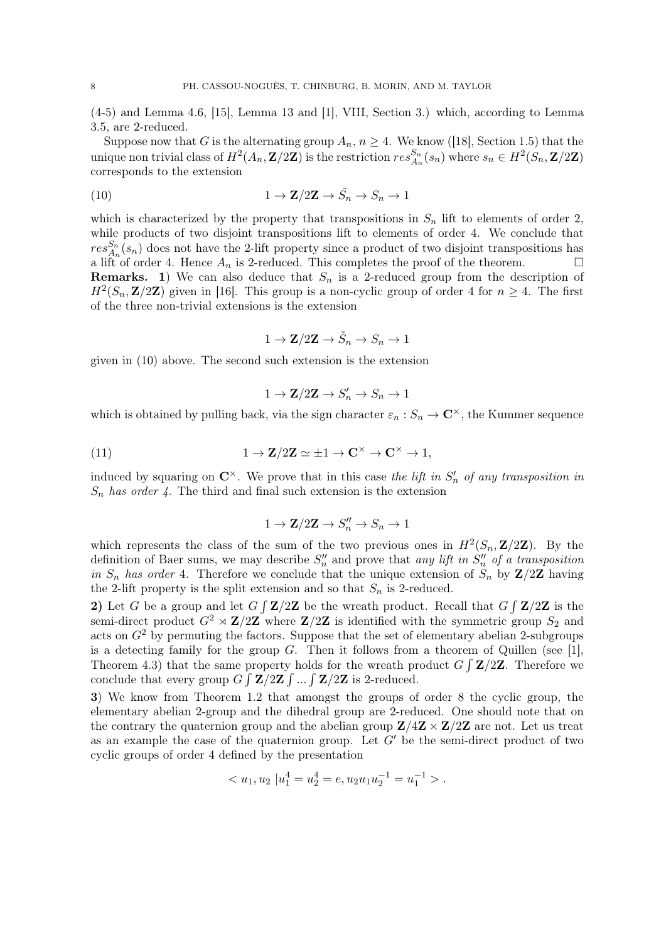(4-5) and Lemma 4.6, [15], Lemma 13 and [1], VIII, Section 3.) which, according to Lemma 3.5, are 2-reduced.

Suppose now that G is the alternating group  $A_n$ ,  $n \geq 4$ . We know ([18], Section 1.5) that the unique non trivial class of  $H^2(A_n, \mathbf{Z}/2\mathbf{Z})$  is the restriction  $res_{A_n}^{S_n}(s_n)$  where  $s_n \in H^2(S_n, \mathbf{Z}/2\mathbf{Z})$ corresponds to the extension

(10) 
$$
1 \to \mathbf{Z}/2\mathbf{Z} \to \tilde{S}_n \to S_n \to 1
$$

which is characterized by the property that transpositions in  $S_n$  lift to elements of order 2, while products of two disjoint transpositions lift to elements of order 4. We conclude that  $res_{A_n}^{S_n}(s_n)$  does not have the 2-lift property since a product of two disjoint transpositions has a lift of order 4. Hence  $A_n$  is 2-reduced. This completes the proof of the theorem. **Remarks.** 1) We can also deduce that  $S_n$  is a 2-reduced group from the description of  $H^2(S_n, \mathbf{Z}/2\mathbf{Z})$  given in [16]. This group is a non-cyclic group of order 4 for  $n \geq 4$ . The first of the three non-trivial extensions is the extension

 $1 \to \mathbf{Z}/2\mathbf{Z} \to \tilde{S}_n \to S_n \to 1$ 

given in (10) above. The second such extension is the extension

$$
1 \to \mathbf{Z}/2\mathbf{Z} \to S'_n \to S_n \to 1
$$

which is obtained by pulling back, via the sign character  $\varepsilon_n : S_n \to \mathbb{C}^\times$ , the Kummer sequence

(11) 
$$
1 \to \mathbf{Z}/2\mathbf{Z} \simeq \pm 1 \to \mathbf{C}^{\times} \to \mathbf{C}^{\times} \to 1,
$$

induced by squaring on  $\mathbb{C}^{\times}$ . We prove that in this case the lift in  $S'_n$  of any transposition in  $S_n$  has order 4. The third and final such extension is the extension

$$
1 \to \mathbf{Z}/2\mathbf{Z} \to S_n'' \to S_n \to 1
$$

which represents the class of the sum of the two previous ones in  $H^2(S_n, \mathbf{Z}/2\mathbf{Z})$ . By the definition of Baer sums, we may describe  $S_n''$  and prove that any lift in  $S_n''$  of a transposition in  $S_n$  has order 4. Therefore we conclude that the unique extension of  $S_n$  by  $\mathbb{Z}/2\mathbb{Z}$  having the 2-lift property is the split extension and so that  $S_n$  is 2-reduced.

2) Let G be a group and let  $G \int \mathbf{Z}/2\mathbf{Z}$  be the wreath product. Recall that  $G \int \mathbf{Z}/2\mathbf{Z}$  is the semi-direct product  $G^2 \rtimes \mathbf{Z}/2\mathbf{Z}$  where  $\mathbf{Z}/2\mathbf{Z}$  is identified with the symmetric group  $S_2$  and acts on  $G<sup>2</sup>$  by permuting the factors. Suppose that the set of elementary abelian 2-subgroups is a detecting family for the group  $G$ . Then it follows from a theorem of Quillen (see [1], Theorem 4.3) that the same property holds for the wreath product  $G \int \mathbf{Z}/2\mathbf{Z}$ . Therefore we conclude that every group  $G \int \mathbf{Z}/2\mathbf{Z} \int ... \int \mathbf{Z}/2\mathbf{Z}$  is 2-reduced.

3) We know from Theorem 1.2 that amongst the groups of order 8 the cyclic group, the elementary abelian 2-group and the dihedral group are 2-reduced. One should note that on the contrary the quaternion group and the abelian group  $\mathbb{Z}/4\mathbb{Z} \times \mathbb{Z}/2\mathbb{Z}$  are not. Let us treat as an example the case of the quaternion group. Let  $G'$  be the semi-direct product of two cyclic groups of order 4 defined by the presentation

$$
\langle u_1, u_2 \, | u_1^4 = u_2^4 = e, u_2 u_1 u_2^{-1} = u_1^{-1} \rangle.
$$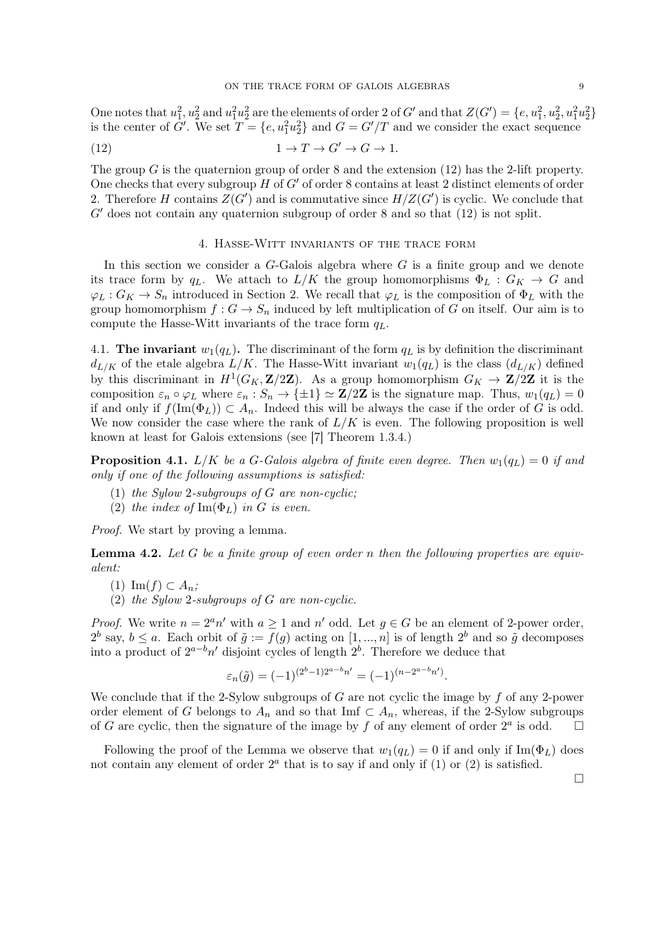One notes that  $u_1^2, u_2^2$  and  $u_1^2u_2^2$  are the elements of order 2 of G' and that  $Z(G') = \{e, u_1^2, u_2^2, u_1^2u_2^2\}$ is the center of  $G'$ . We set  $T = \{e, u_1^2 u_2^2\}$  and  $G = G'/T$  and we consider the exact sequence

(12) 
$$
1 \to T \to G' \to G \to 1.
$$

The group G is the quaternion group of order 8 and the extension  $(12)$  has the 2-lift property. One checks that every subgroup  $H$  of  $G'$  of order 8 contains at least 2 distinct elements of order 2. Therefore H contains  $Z(G')$  and is commutative since  $H/Z(G')$  is cyclic. We conclude that  $G'$  does not contain any quaternion subgroup of order 8 and so that  $(12)$  is not split.

## 4. Hasse-Witt invariants of the trace form

In this section we consider a  $G$ -Galois algebra where  $G$  is a finite group and we denote its trace form by q<sub>L</sub>. We attach to  $L/K$  the group homomorphisms  $\Phi_L : G_K \to G$  and  $\varphi_L: G_K \to S_n$  introduced in Section 2. We recall that  $\varphi_L$  is the composition of  $\Phi_L$  with the group homomorphism  $f: G \to S_n$  induced by left multiplication of G on itself. Our aim is to compute the Hasse-Witt invariants of the trace form  $q_L$ .

4.1. The invariant  $w_1(q_L)$ . The discriminant of the form  $q_L$  is by definition the discriminant  $d_{L/K}$  of the etale algebra  $L/K$ . The Hasse-Witt invariant  $w_1(q_L)$  is the class  $(d_{L/K})$  defined by this discriminant in  $H^1(G_K, \mathbf{Z}/2\mathbf{Z})$ . As a group homomorphism  $G_K \to \mathbf{Z}/2\mathbf{Z}$  it is the composition  $\varepsilon_n \circ \varphi_L$  where  $\varepsilon_n : S_n \to {\pm 1} \simeq {\bf Z}/2{\bf Z}$  is the signature map. Thus,  $w_1(q_L) = 0$ if and only if  $f(\text{Im}(\Phi_L)) \subset A_n$ . Indeed this will be always the case if the order of G is odd. We now consider the case where the rank of  $L/K$  is even. The following proposition is well known at least for Galois extensions (see [7] Theorem 1.3.4.)

**Proposition 4.1.** L/K be a G-Galois algebra of finite even degree. Then  $w_1(q_L) = 0$  if and only if one of the following assumptions is satisfied:

- (1) the Sylow 2-subgroups of  $G$  are non-cyclic;
- (2) the index of  $\text{Im}(\Phi_L)$  in G is even.

Proof. We start by proving a lemma.

**Lemma 4.2.** Let G be a finite group of even order n then the following properties are equivalent:

 $(1)$  Im $(f) \subset A_n$ ;

(2) the Sylow 2-subgroups of G are non-cyclic.

*Proof.* We write  $n = 2^a n'$  with  $a \ge 1$  and  $n'$  odd. Let  $g \in G$  be an element of 2-power order,  $2^b$  say,  $b \le a$ . Each orbit of  $\tilde{g} := f(g)$  acting on  $[1, ..., n]$  is of length  $2^b$  and so  $\tilde{g}$  decomposes into a product of  $2^{a-b}n'$  disjoint cycles of length  $2^b$ . Therefore we deduce that

$$
\varepsilon_n(\tilde{g}) = (-1)^{(2^b - 1)2^{a - b}n'} = (-1)^{(n - 2^{a - b}n')}.
$$

We conclude that if the 2-Sylow subgroups of  $G$  are not cyclic the image by  $f$  of any 2-power order element of G belongs to  $A_n$  and so that Imf  $\subset A_n$ , whereas, if the 2-Sylow subgroups of G are cyclic, then the signature of the image by f of any element of order  $2^a$  is odd.

Following the proof of the Lemma we observe that  $w_1(q_L) = 0$  if and only if  $\text{Im}(\Phi_L)$  does not contain any element of order  $2<sup>a</sup>$  that is to say if and only if (1) or (2) is satisfied.

 $\Box$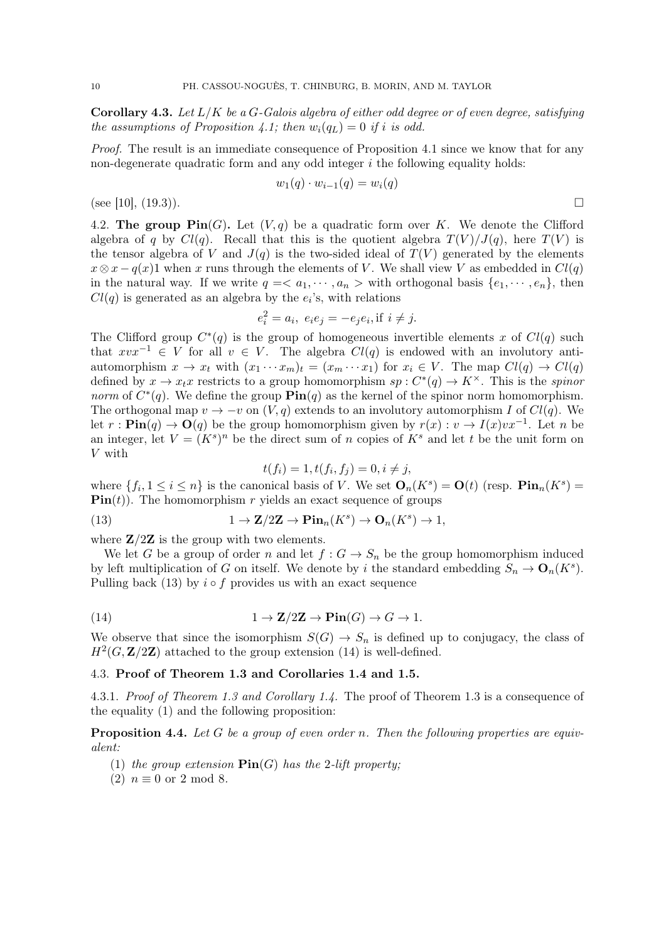**Corollary 4.3.** Let  $L/K$  be a G-Galois algebra of either odd degree or of even degree, satisfying the assumptions of Proposition 4.1; then  $w_i(q_L) = 0$  if i is odd.

Proof. The result is an immediate consequence of Proposition 4.1 since we know that for any non-degenerate quadratic form and any odd integer  $i$  the following equality holds:

$$
w_1(q)\cdot w_{i-1}(q)=w_i(q)
$$

(see [10], (19.3)).

4.2. The group  $\text{Pin}(G)$ . Let  $(V, q)$  be a quadratic form over K. We denote the Clifford algebra of q by  $Cl(q)$ . Recall that this is the quotient algebra  $T(V)/J(q)$ , here  $T(V)$  is the tensor algebra of V and  $J(q)$  is the two-sided ideal of  $T(V)$  generated by the elements  $x \otimes x - q(x)1$  when x runs through the elements of V. We shall view V as embedded in  $Cl(q)$ in the natural way. If we write  $q = \langle a_1, \dots, a_n \rangle$  with orthogonal basis  $\{e_1, \dots, e_n\}$ , then  $Cl(q)$  is generated as an algebra by the  $e_i$ 's, with relations

$$
e_i^2 = a_i, e_i e_j = -e_j e_i, \text{if } i \neq j.
$$

The Clifford group  $C^*(q)$  is the group of homogeneous invertible elements x of  $Cl(q)$  such that  $xvx^{-1} \in V$  for all  $v \in V$ . The algebra  $Cl(q)$  is endowed with an involutory antiautomorphism  $x \to x_t$  with  $(x_1 \cdots x_m)_t = (x_m \cdots x_1)$  for  $x_i \in V$ . The map  $Cl(q) \to Cl(q)$ defined by  $x \to x_t x$  restricts to a group homomorphism  $sp: C^*(q) \to K^\times$ . This is the *spinor* norm of  $C^*(q)$ . We define the group  $\text{Pin}(q)$  as the kernel of the spinor norm homomorphism. The orthogonal map  $v \to -v$  on  $(V, q)$  extends to an involutory automorphism I of  $Cl(q)$ . We let  $r: \text{Pin}(q) \to \text{O}(q)$  be the group homomorphism given by  $r(x): v \to I(x) v x^{-1}$ . Let n be an integer, let  $V = (K<sup>s</sup>)<sup>n</sup>$  be the direct sum of n copies of  $K<sup>s</sup>$  and let t be the unit form on V with

$$
t(f_i) = 1, t(f_i, f_j) = 0, i \neq j,
$$

where  $\{f_i, 1 \leq i \leq n\}$  is the canonical basis of V. We set  $\mathbf{O}_n(K^s) = \mathbf{O}(t)$  (resp.  $\text{Pin}_n(K^s) =$  $\text{Pin}(t)$ . The homomorphism r yields an exact sequence of groups

(13) 
$$
1 \to \mathbf{Z}/2\mathbf{Z} \to \mathbf{Pin}_n(K^s) \to \mathbf{O}_n(K^s) \to 1,
$$

where  $\mathbf{Z}/2\mathbf{Z}$  is the group with two elements.

We let G be a group of order n and let  $f: G \to S_n$  be the group homomorphism induced by left multiplication of G on itself. We denote by i the standard embedding  $S_n \to \mathbf{O}_n(K^s)$ . Pulling back (13) by  $i \circ f$  provides us with an exact sequence

(14) 
$$
1 \to \mathbf{Z}/2\mathbf{Z} \to \mathbf{Pin}(G) \to G \to 1.
$$

We observe that since the isomorphism  $S(G) \to S_n$  is defined up to conjugacy, the class of  $H^2(G, \mathbf{Z}/2\mathbf{Z})$  attached to the group extension (14) is well-defined.

## 4.3. Proof of Theorem 1.3 and Corollaries 1.4 and 1.5.

4.3.1. Proof of Theorem 1.3 and Corollary 1.4. The proof of Theorem 1.3 is a consequence of the equality (1) and the following proposition:

**Proposition 4.4.** Let G be a group of even order n. Then the following properties are equivalent:

- (1) the group extension  $\text{Pin}(G)$  has the 2-lift property;
- (2)  $n \equiv 0$  or 2 mod 8.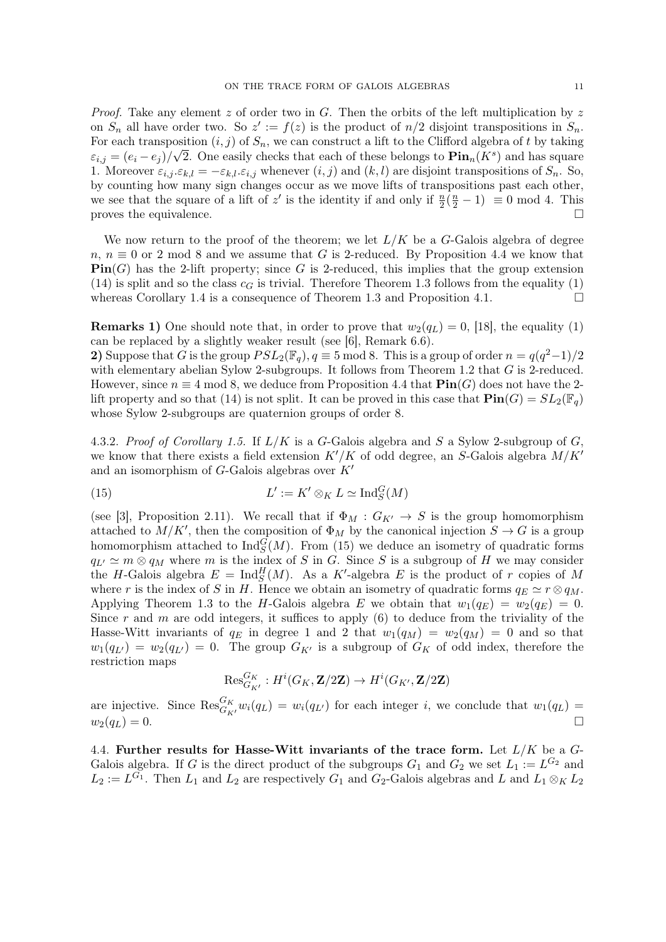*Proof.* Take any element z of order two in G. Then the orbits of the left multiplication by z on  $S_n$  all have order two. So  $z' := f(z)$  is the product of  $n/2$  disjoint transpositions in  $S_n$ . For each transposition  $(i, j)$  of  $S_n$ , we can construct a lift to the Clifford algebra of t by taking  $\varepsilon_{i,j} = (e_i - e_j)/\sqrt{2}$ . One easily checks that each of these belongs to  $\text{Pin}_n(K^s)$  and has square 1. Moreover  $\varepsilon_{i,j}$ , $\varepsilon_{k,l} = -\varepsilon_{k,l}$ ,  $\varepsilon_{i,j}$  whenever  $(i, j)$  and  $(k, l)$  are disjoint transpositions of  $S_n$ . So, by counting how many sign changes occur as we move lifts of transpositions past each other, we see that the square of a lift of z' is the identity if and only if  $\frac{n}{2}(\frac{n}{2}-1) \equiv 0 \mod 4$ . This proves the equivalence.  $\Box$ 

We now return to the proof of the theorem; we let  $L/K$  be a G-Galois algebra of degree  $n, n \equiv 0$  or 2 mod 8 and we assume that G is 2-reduced. By Proposition 4.4 we know that  $\text{Pin}(G)$  has the 2-lift property; since G is 2-reduced, this implies that the group extension (14) is split and so the class  $c<sub>G</sub>$  is trivial. Therefore Theorem 1.3 follows from the equality (1) whereas Corollary 1.4 is a consequence of Theorem 1.3 and Proposition 4.1.  $\Box$ 

**Remarks 1)** One should note that, in order to prove that  $w_2(q_L) = 0$ , [18], the equality (1) can be replaced by a slightly weaker result (see [6], Remark 6.6).

2) Suppose that G is the group  $PSL_2(\mathbb{F}_q)$ ,  $q \equiv 5 \mod 8$ . This is a group of order  $n = \frac{q(q^2-1)}{2}$ with elementary abelian Sylow 2-subgroups. It follows from Theorem 1.2 that  $G$  is 2-reduced. However, since  $n \equiv 4 \mod 8$ , we deduce from Proposition 4.4 that  $\text{Pin}(G)$  does not have the 2lift property and so that (14) is not split. It can be proved in this case that  $\text{Pin}(G) = SL_2(\mathbb{F}_q)$ whose Sylow 2-subgroups are quaternion groups of order 8.

4.3.2. Proof of Corollary 1.5. If  $L/K$  is a G-Galois algebra and S a Sylow 2-subgroup of G, we know that there exists a field extension  $K'/K$  of odd degree, an S-Galois algebra  $M/K'$ and an isomorphism of  $G$ -Galois algebras over  $K'$ 

(15) 
$$
L' := K' \otimes_K L \simeq \text{Ind}_S^G(M)
$$

(see [3], Proposition 2.11). We recall that if  $\Phi_M : G_{K'} \to S$  is the group homomorphism attached to  $M/K'$ , then the composition of  $\Phi_M$  by the canonical injection  $S \to G$  is a group homomorphism attached to  $\text{Ind}_{S}^{G}(M)$ . From (15) we deduce an isometry of quadratic forms  $q_{L'} \simeq m \otimes q_M$  where m is the index of S in G. Since S is a subgroup of H we may consider the H-Galois algebra  $E = \text{Ind}_{S}^{H}(M)$ . As a K'-algebra E is the product of r copies of M where r is the index of S in H. Hence we obtain an isometry of quadratic forms  $q_E \simeq r \otimes q_M$ . Applying Theorem 1.3 to the H-Galois algebra E we obtain that  $w_1(q_E) = w_2(q_E) = 0$ . Since r and m are odd integers, it suffices to apply  $(6)$  to deduce from the triviality of the Hasse-Witt invariants of  $q_E$  in degree 1 and 2 that  $w_1(q_M) = w_2(q_M) = 0$  and so that  $w_1(q_{L'}) = w_2(q_{L'}) = 0$ . The group  $G_{K'}$  is a subgroup of  $G_K$  of odd index, therefore the restriction maps

$$
\text{Res}_{G_{K'}}^{G_K}: H^i(G_K, \mathbf{Z}/2\mathbf{Z}) \to H^i(G_{K'}, \mathbf{Z}/2\mathbf{Z})
$$

are injective. Since  $\text{Res}_{G_{K'}}^{G_K} w_i(q_L) = w_i(q_{L'})$  for each integer i, we conclude that  $w_1(q_L) =$  $w_2(q_L) = 0.$ 

4.4. Further results for Hasse-Witt invariants of the trace form. Let  $L/K$  be a  $G$ -Galois algebra. If G is the direct product of the subgroups  $G_1$  and  $G_2$  we set  $L_1 := L^{G_2}$  and  $L_2 := L^{G_1}$ . Then  $L_1$  and  $L_2$  are respectively  $G_1$  and  $G_2$ -Galois algebras and L and  $L_1 \otimes_K L_2$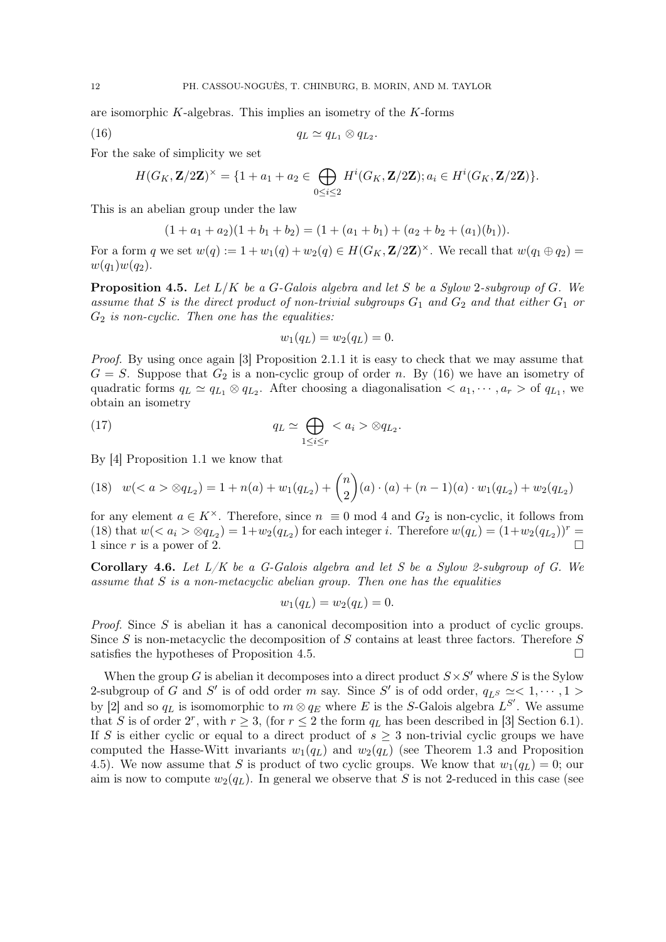are isomorphic K-algebras. This implies an isometry of the K-forms

$$
(16) \t\t\t q_L \simeq q_{L_1} \otimes q_{L_2}.
$$

For the sake of simplicity we set

$$
H(G_K, \mathbf{Z}/2\mathbf{Z})^{\times} = \{1 + a_1 + a_2 \in \bigoplus_{0 \leq i \leq 2} H^i(G_K, \mathbf{Z}/2\mathbf{Z}); a_i \in H^i(G_K, \mathbf{Z}/2\mathbf{Z})\}.
$$

This is an abelian group under the law

$$
(1 + a1 + a2)(1 + b1 + b2) = (1 + (a1 + b1) + (a2 + b2 + (a1)(b1)).
$$

For a form q we set  $w(q) := 1 + w_1(q) + w_2(q) \in H(G_K, \mathbf{Z}/2\mathbf{Z})^{\times}$ . We recall that  $w(q_1 \oplus q_2) =$  $w(q_1)w(q_2)$ .

**Proposition 4.5.** Let  $L/K$  be a G-Galois algebra and let S be a Sylow 2-subgroup of G. We assume that S is the direct product of non-trivial subgroups  $G_1$  and  $G_2$  and that either  $G_1$  or  $G_2$  is non-cyclic. Then one has the equalities:

$$
w_1(q_L) = w_2(q_L) = 0.
$$

Proof. By using once again [3] Proposition 2.1.1 it is easy to check that we may assume that  $G = S$ . Suppose that  $G_2$  is a non-cyclic group of order n. By (16) we have an isometry of quadratic forms  $q_L \simeq q_{L_1} \otimes q_{L_2}$ . After choosing a diagonalisation  $\langle a_1, \dots, a_r \rangle$  of  $q_{L_1}$ , we obtain an isometry

(17) 
$$
q_L \simeq \bigoplus_{1 \leq i \leq r} \langle a_i \rangle \otimes q_{L_2}.
$$

By [4] Proposition 1.1 we know that

$$
(18) \quad w(qL2\) = 1 + n\(a\) + w1\(qL2\) + {n \choose 2}\(a\) \cdot \(a\) + \(n - 1\)\(a\) \cdot w1\(qL2\) + w2\(qL2\)
$$

for any element  $a \in K^{\times}$ . Therefore, since  $n \equiv 0 \mod 4$  and  $G_2$  is non-cyclic, it follows from (18) that  $w(< a_i > \otimes q_{L_2}) = 1 + w_2(q_{L_2})$  for each integer *i*. Therefore  $w(q_L) = (1 + w_2(q_{L_2}))^r =$ 1 since r is a power of 2.

Corollary 4.6. Let  $L/K$  be a G-Galois algebra and let S be a Sylow 2-subgroup of G. We assume that S is a non-metacyclic abelian group. Then one has the equalities

$$
w_1(q_L) = w_2(q_L) = 0.
$$

Proof. Since S is abelian it has a canonical decomposition into a product of cyclic groups. Since S is non-metacyclic the decomposition of S contains at least three factors. Therefore  $S$ satisfies the hypotheses of Proposition 4.5.

When the group G is abelian it decomposes into a direct product  $S \times S'$  where S is the Sylow 2-subgroup of G and S' is of odd order m say. Since S' is of odd order,  $q_{L^S} \simeq < 1, \cdots, 1 >$ by [2] and so  $q_L$  is isomomorphic to  $m \otimes q_E$  where E is the S-Galois algebra  $L^{S'}$ . We assume that S is of order  $2^r$ , with  $r \geq 3$ , (for  $r \leq 2$  the form  $q_L$  has been described in [3] Section 6.1). If S is either cyclic or equal to a direct product of  $s \geq 3$  non-trivial cyclic groups we have computed the Hasse-Witt invariants  $w_1(q_L)$  and  $w_2(q_L)$  (see Theorem 1.3 and Proposition 4.5). We now assume that S is product of two cyclic groups. We know that  $w_1(q_L) = 0$ ; our aim is now to compute  $w_2(q_L)$ . In general we observe that S is not 2-reduced in this case (see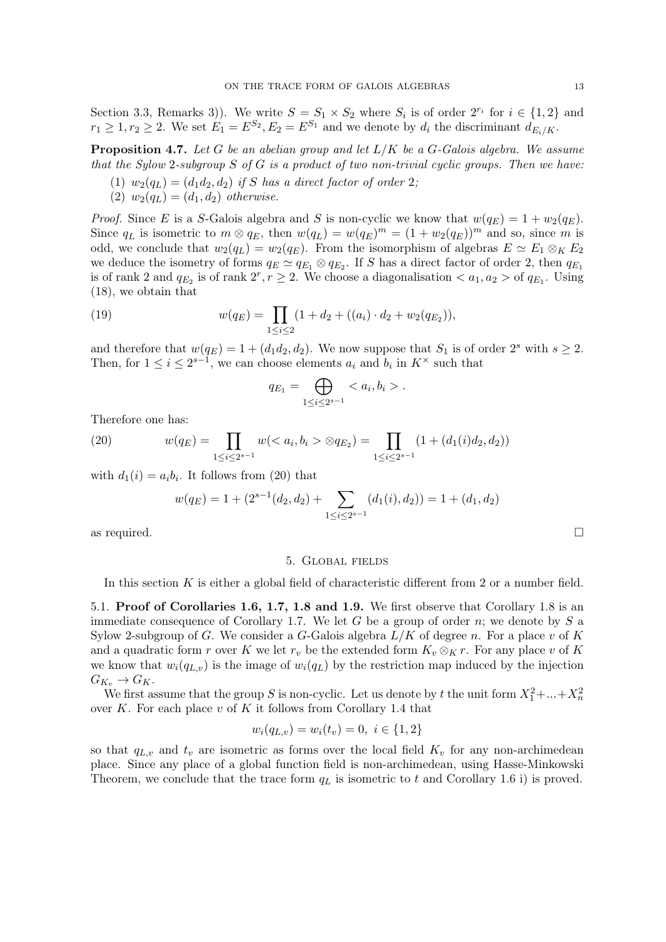Section 3.3, Remarks 3)). We write  $S = S_1 \times S_2$  where  $S_i$  is of order  $2^{r_i}$  for  $i \in \{1,2\}$  and  $r_1 \geq 1, r_2 \geq 2$ . We set  $E_1 = E^{S_2}, E_2 = E^{S_1}$  and we denote by  $d_i$  the discriminant  $d_{E_i/K}$ .

**Proposition 4.7.** Let G be an abelian group and let  $L/K$  be a G-Galois algebra. We assume that the Sylow 2-subgroup  $S$  of  $G$  is a product of two non-trivial cyclic groups. Then we have:

- (1)  $w_2(q_L) = (d_1d_2, d_2)$  if S has a direct factor of order 2;
- (2)  $w_2(q_L) = (d_1, d_2)$  otherwise.

*Proof.* Since E is a S-Galois algebra and S is non-cyclic we know that  $w(q_E) = 1 + w_2(q_E)$ . Since  $q_L$  is isometric to  $m \otimes q_E$ , then  $w(q_L) = w(q_E)^m = (1 + w_2(q_E))^m$  and so, since m is odd, we conclude that  $w_2(q_L) = w_2(q_E)$ . From the isomorphism of algebras  $E \simeq E_1 \otimes_K E_2$ we deduce the isometry of forms  $q_E \simeq q_{E_1} \otimes q_{E_2}$ . If S has a direct factor of order 2, then  $q_{E_1}$ is of rank 2 and  $q_{E_2}$  is of rank  $2^r, r \geq 2$ . We choose a diagonalisation  $\lt a_1, a_2 > \text{of } q_{E_1}$ . Using (18), we obtain that

(19) 
$$
w(q_E) = \prod_{1 \leq i \leq 2} (1 + d_2 + ((a_i) \cdot d_2 + w_2(q_{E_2})),
$$

and therefore that  $w(q_E) = 1 + (d_1 d_2, d_2)$ . We now suppose that  $S_1$  is of order  $2^s$  with  $s \geq 2$ . Then, for  $1 \leq i \leq 2^{s-1}$ , we can choose elements  $a_i$  and  $b_i$  in  $K^{\times}$  such that

$$
q_{E_1} = \bigoplus_{1 \le i \le 2^{s-1}} .
$$

Therefore one has:

(20) 
$$
w(q_E) = \prod_{1 \le i \le 2^{s-1}} w( \otimes q_{E_2}) = \prod_{1 \le i \le 2^{s-1}} (1 + (d_1(i)d_2, d_2))
$$

with  $d_1(i) = a_i b_i$ . It follows from (20) that

$$
w(q_E) = 1 + (2^{s-1}(d_2, d_2) + \sum_{1 \le i \le 2^{s-1}} (d_1(i), d_2)) = 1 + (d_1, d_2)
$$

as required.  $\Box$ 

#### 5. Global fields

In this section  $K$  is either a global field of characteristic different from 2 or a number field.

5.1. Proof of Corollaries 1.6, 1.7, 1.8 and 1.9. We first observe that Corollary 1.8 is an immediate consequence of Corollary 1.7. We let G be a group of order n; we denote by  $S$  a Sylow 2-subgroup of G. We consider a G-Galois algebra  $L/K$  of degree n. For a place v of K and a quadratic form r over K we let  $r_v$  be the extended form  $K_v \otimes_K r$ . For any place v of K we know that  $w_i(q_{L,v})$  is the image of  $w_i(q_L)$  by the restriction map induced by the injection  $G_{K_v} \to G_K$ .

We first assume that the group S is non-cyclic. Let us denote by t the unit form  $X_1^2 + ... + X_n^2$ over  $K$ . For each place  $v$  of  $K$  it follows from Corollary 1.4 that

$$
w_i(q_{L,v}) = w_i(t_v) = 0, \ i \in \{1, 2\}
$$

so that  $q_{L,v}$  and  $t_v$  are isometric as forms over the local field  $K_v$  for any non-archimedean place. Since any place of a global function field is non-archimedean, using Hasse-Minkowski Theorem, we conclude that the trace form  $q_L$  is isometric to t and Corollary 1.6 i) is proved.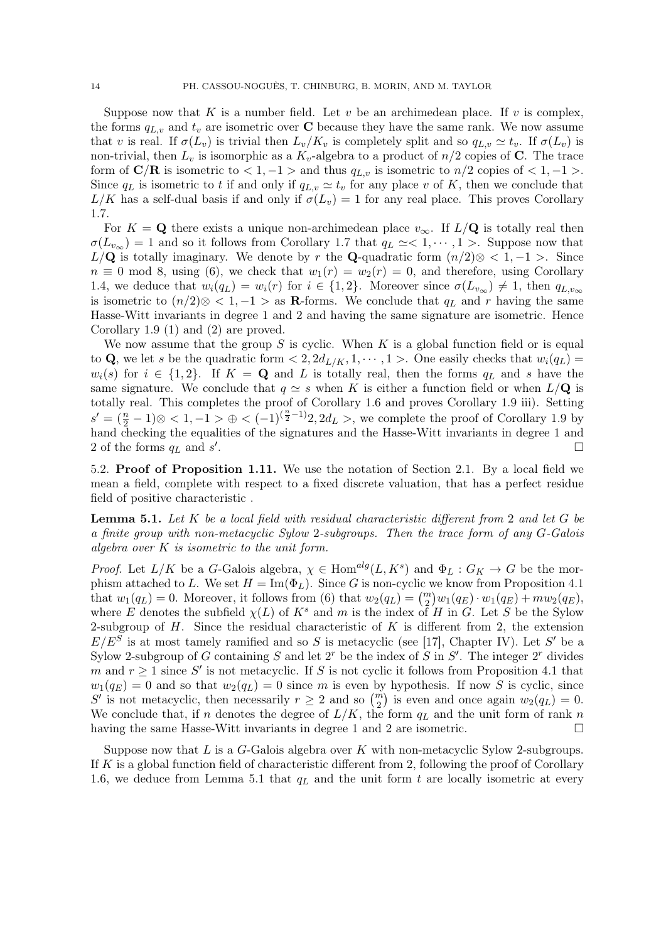Suppose now that K is a number field. Let  $v$  be an archimedean place. If  $v$  is complex, the forms  $q_{L,v}$  and  $t_v$  are isometric over **C** because they have the same rank. We now assume that v is real. If  $\sigma(L_v)$  is trivial then  $L_v/K_v$  is completely split and so  $q_{L,v} \simeq t_v$ . If  $\sigma(L_v)$  is non-trivial, then  $L_v$  is isomorphic as a  $K_v$ -algebra to a product of  $n/2$  copies of C. The trace form of  $\mathbf{C}/\mathbf{R}$  is isometric to  $< 1, -1 >$  and thus  $q_{L,v}$  is isometric to  $n/2$  copies of  $< 1, -1 >$ . Since  $q_L$  is isometric to t if and only if  $q_{L,v} \simeq t_v$  for any place v of K, then we conclude that  $L/K$  has a self-dual basis if and only if  $\sigma(L_v) = 1$  for any real place. This proves Corollary 1.7.

For  $K = \mathbf{Q}$  there exists a unique non-archimedean place  $v_{\infty}$ . If  $L/\mathbf{Q}$  is totally real then  $\sigma(L_{v_{\infty}}) = 1$  and so it follows from Corollary 1.7 that  $q_L \simeq < 1, \cdots, 1 >$ . Suppose now that  $L/\mathbf{Q}$  is totally imaginary. We denote by r the **Q**-quadratic form  $(n/2) \otimes < 1, -1 >$ . Since  $n \equiv 0 \mod 8$ , using (6), we check that  $w_1(r) = w_2(r) = 0$ , and therefore, using Corollary 1.4, we deduce that  $w_i(q_L) = w_i(r)$  for  $i \in \{1,2\}$ . Moreover since  $\sigma(L_{v_\infty}) \neq 1$ , then  $q_{L,v_\infty}$ is isometric to  $(n/2) \otimes \langle 1, -1 \rangle$  as **R**-forms. We conclude that  $q_L$  and r having the same Hasse-Witt invariants in degree 1 and 2 and having the same signature are isometric. Hence Corollary 1.9 (1) and (2) are proved.

We now assume that the group S is cyclic. When K is a global function field or is equal to Q, we let s be the quadratic form  $\langle 2, 2d_{L/K}, 1, \cdots, 1 \rangle$ . One easily checks that  $w_i(q_L)$  $w_i(s)$  for  $i \in \{1,2\}$ . If  $K = \mathbf{Q}$  and L is totally real, then the forms  $q_L$  and s have the same signature. We conclude that  $q \simeq s$  when K is either a function field or when  $L/\mathbf{Q}$  is totally real. This completes the proof of Corollary 1.6 and proves Corollary 1.9 iii). Setting  $s' = (\frac{n}{2} - 1) \otimes 1, -1 > \oplus 1 \cdot (-1)^{(\frac{n}{2} - 1)} 2, 2d_L > 0$ , we complete the proof of Corollary 1.9 by hand checking the equalities of the signatures and the Hasse-Witt invariants in degree 1 and 2 of the forms  $q_L$  and  $s^\prime$ .

5.2. Proof of Proposition 1.11. We use the notation of Section 2.1. By a local field we mean a field, complete with respect to a fixed discrete valuation, that has a perfect residue field of positive characteristic .

**Lemma 5.1.** Let  $K$  be a local field with residual characteristic different from 2 and let  $G$  be a finite group with non-metacyclic Sylow 2-subgroups. Then the trace form of any G-Galois algebra over  $K$  is isometric to the unit form.

*Proof.* Let  $L/K$  be a G-Galois algebra,  $\chi \in \text{Hom}^{alg}(L, K^s)$  and  $\Phi_L: G_K \to G$  be the morphism attached to L. We set  $H = \text{Im}(\Phi_L)$ . Since G is non-cyclic we know from Proposition 4.1 that  $w_1(q_L) = 0$ . Moreover, it follows from (6) that  $w_2(q_L) = {m \choose 2} w_1(q_E) \cdot w_1(q_E) + m w_2(q_E)$ , where E denotes the subfield  $\chi(L)$  of  $K^s$  and m is the index of H in G. Let S be the Sylow 2-subgroup of  $H$ . Since the residual characteristic of  $K$  is different from 2, the extension  $E/E^S$  is at most tamely ramified and so S is metacyclic (see [17], Chapter IV). Let S' be a Sylow 2-subgroup of G containing S and let  $2^r$  be the index of S in  $S'$ . The integer  $2^r$  divides m and  $r \geq 1$  since S' is not metacyclic. If S is not cyclic it follows from Proposition 4.1 that  $w_1(q_E) = 0$  and so that  $w_2(q_E) = 0$  since m is even by hypothesis. If now S is cyclic, since S' is not metacyclic, then necessarily  $r \geq 2$  and so  $\binom{m}{2}$  is even and once again  $w_2(q_L) = 0$ . We conclude that, if n denotes the degree of  $L/K$ , the form  $q_L$  and the unit form of rank n having the same Hasse-Witt invariants in degree 1 and 2 are isometric.  $\Box$ 

Suppose now that  $L$  is a  $G$ -Galois algebra over  $K$  with non-metacyclic Sylow 2-subgroups. If K is a global function field of characteristic different from 2, following the proof of Corollary 1.6, we deduce from Lemma 5.1 that  $q_L$  and the unit form t are locally isometric at every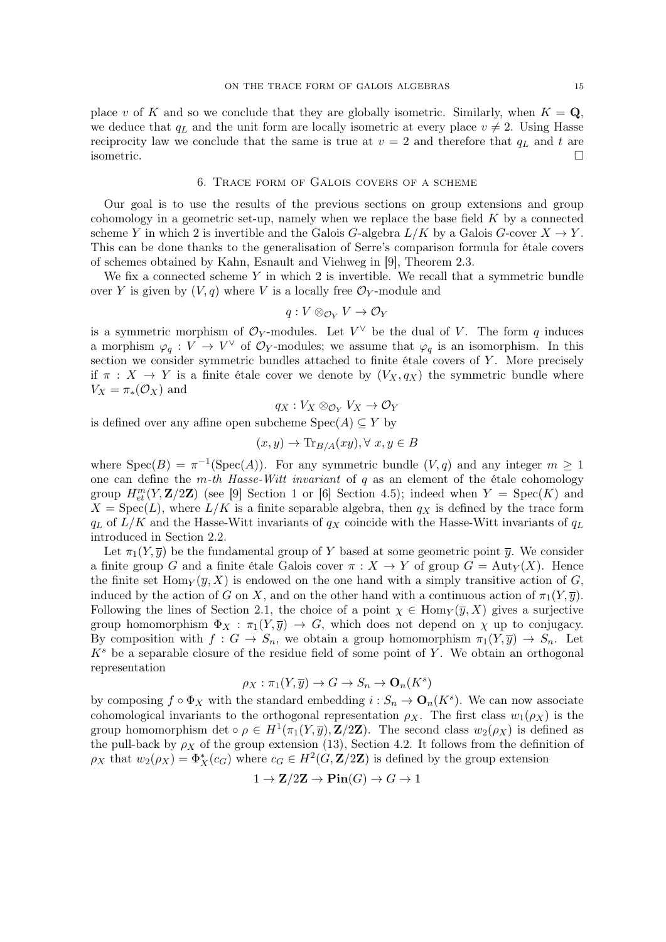place v of K and so we conclude that they are globally isometric. Similarly, when  $K = \mathbf{Q}$ , we deduce that  $q_L$  and the unit form are locally isometric at every place  $v \neq 2$ . Using Hasse reciprocity law we conclude that the same is true at  $v = 2$  and therefore that  $q_L$  and t are isometric.

### 6. Trace form of Galois covers of a scheme

Our goal is to use the results of the previous sections on group extensions and group cohomology in a geometric set-up, namely when we replace the base field  $K$  by a connected scheme Y in which 2 is invertible and the Galois G-algebra  $L/K$  by a Galois G-cover  $X \to Y$ . This can be done thanks to the generalisation of Serre's comparison formula for étale covers of schemes obtained by Kahn, Esnault and Viehweg in [9], Theorem 2.3.

We fix a connected scheme  $Y$  in which  $2$  is invertible. We recall that a symmetric bundle over Y is given by  $(V, q)$  where V is a locally free  $\mathcal{O}_Y$ -module and

$$
q:V\otimes_{\mathcal{O}_Y}V\to \mathcal{O}_Y
$$

is a symmetric morphism of  $\mathcal{O}_Y$ -modules. Let  $V^{\vee}$  be the dual of V. The form q induces a morphism  $\varphi_q: V \to V^{\vee}$  of  $\mathcal{O}_Y$ -modules; we assume that  $\varphi_q$  is an isomorphism. In this section we consider symmetric bundles attached to finite étale covers of  $Y$ . More precisely if  $\pi : X \to Y$  is a finite étale cover we denote by  $(V_X, q_X)$  the symmetric bundle where  $V_X = \pi_*(\mathcal{O}_X)$  and

$$
q_X: V_X \otimes_{\mathcal{O}_Y} V_X \to \mathcal{O}_Y
$$

is defined over any affine open subcheme  $Spec(A) \subseteq Y$  by

$$
(x, y) \to \text{Tr}_{B/A}(xy), \forall x, y \in B
$$

where  $Spec(B) = \pi^{-1}(Spec(A))$ . For any symmetric bundle  $(V, q)$  and any integer  $m \ge 1$ one can define the m-th Hasse-Witt invariant of  $q$  as an element of the étale cohomology group  $H_{et}^{m}(Y, \mathbf{Z}/2\mathbf{Z})$  (see [9] Section 1 or [6] Section 4.5); indeed when  $Y = \text{Spec}(K)$  and  $X = \text{Spec}(L)$ , where  $L/K$  is a finite separable algebra, then  $q_X$  is defined by the trace form  $q_L$  of  $L/K$  and the Hasse-Witt invariants of  $q_X$  coincide with the Hasse-Witt invariants of  $q_L$ introduced in Section 2.2.

Let  $\pi_1(Y, \overline{y})$  be the fundamental group of Y based at some geometric point  $\overline{y}$ . We consider a finite group G and a finite étale Galois cover  $\pi : X \to Y$  of group  $G = \text{Aut}_Y(X)$ . Hence the finite set  $\text{Hom}_Y(\overline{y}, X)$  is endowed on the one hand with a simply transitive action of G, induced by the action of G on X, and on the other hand with a continuous action of  $\pi_1(Y, \overline{y})$ . Following the lines of Section 2.1, the choice of a point  $\chi \in \text{Hom}_Y(\overline{y}, X)$  gives a surjective group homomorphism  $\Phi_X : \pi_1(Y, \overline{y}) \to G$ , which does not depend on  $\chi$  up to conjugacy. By composition with  $f: G \to S_n$ , we obtain a group homomorphism  $\pi_1(Y, \overline{y}) \to S_n$ . Let  $K<sup>s</sup>$  be a separable closure of the residue field of some point of Y. We obtain an orthogonal representation

$$
\rho_X : \pi_1(Y, \overline{y}) \to G \to S_n \to \mathbf{O}_n(K^s)
$$

by composing  $f \circ \Phi_X$  with the standard embedding  $i : S_n \to \mathbf{O}_n(K^s)$ . We can now associate cohomological invariants to the orthogonal representation  $\rho_X$ . The first class  $w_1(\rho_X)$  is the group homomorphism det  $\circ \rho \in H^1(\pi_1(Y,\overline{y}), \mathbf{Z}/2\mathbf{Z})$ . The second class  $w_2(\rho_X)$  is defined as the pull-back by  $\rho_X$  of the group extension (13), Section 4.2. It follows from the definition of  $\rho_X$  that  $w_2(\rho_X) = \Phi_X^*(c_G)$  where  $c_G \in H^2(G, \mathbf{Z}/2\mathbf{Z})$  is defined by the group extension

$$
1 \to \mathbf{Z}/2\mathbf{Z} \to \mathbf{Pin}(G) \to G \to 1
$$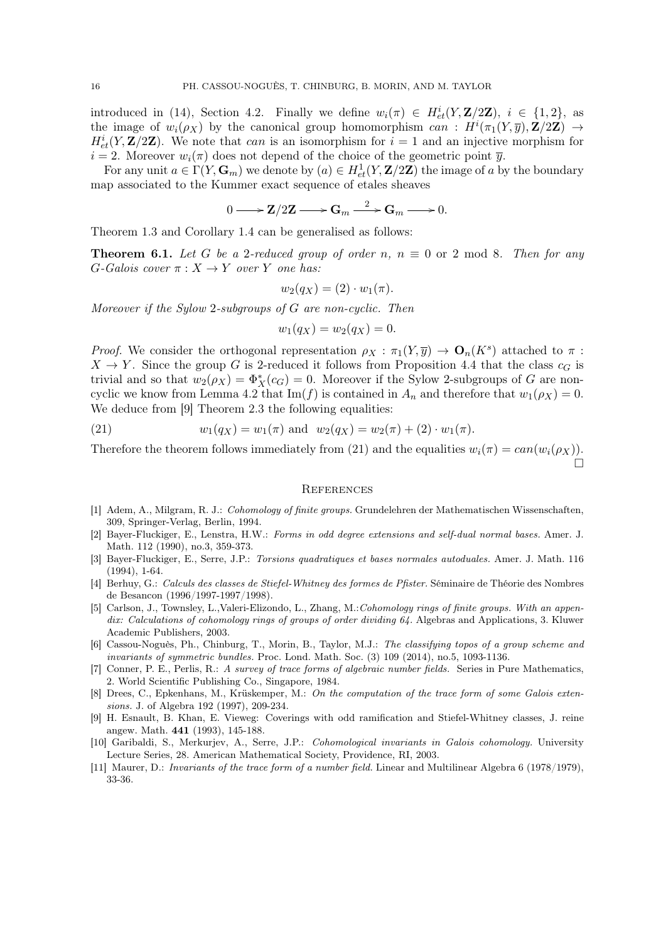introduced in (14), Section 4.2. Finally we define  $w_i(\pi) \in H^i_{et}(Y, \mathbf{Z}/2\mathbf{Z}), i \in \{1,2\}$ , as the image of  $w_i(\rho_X)$  by the canonical group homomorphism can:  $H^i(\pi_1(Y,\overline{y}),\mathbf{Z}/2\mathbf{Z}) \to$  $H^i_{et}(Y, \mathbf{Z}/2\mathbf{Z})$ . We note that can is an isomorphism for  $i = 1$  and an injective morphism for  $i = 2$ . Moreover  $w_i(\pi)$  does not depend of the choice of the geometric point  $\overline{y}$ .

For any unit  $a \in \Gamma(Y, \mathbf{G}_m)$  we denote by  $(a) \in H^1_{et}(Y, \mathbf{Z}/2\mathbf{Z})$  the image of a by the boundary map associated to the Kummer exact sequence of etales sheaves

$$
0 \longrightarrow Z/2Z \longrightarrow G_m \stackrel{2}{\longrightarrow} G_m \longrightarrow 0.
$$

Theorem 1.3 and Corollary 1.4 can be generalised as follows:

**Theorem 6.1.** Let G be a 2-reduced group of order n,  $n \equiv 0$  or 2 mod 8. Then for any  $G$ -Galois cover  $\pi : X \to Y$  over Y one has:

$$
w_2(q_X) = (2) \cdot w_1(\pi).
$$

Moreover if the Sylow 2-subgroups of G are non-cyclic. Then

$$
w_1(q_X) = w_2(q_X) = 0.
$$

*Proof.* We consider the orthogonal representation  $\rho_X : \pi_1(Y, \overline{y}) \to \mathbf{O}_n(K^s)$  attached to  $\pi$ :  $X \to Y$ . Since the group G is 2-reduced it follows from Proposition 4.4 that the class  $c_G$  is trivial and so that  $w_2(\rho_X) = \Phi_X^*(c_G) = 0$ . Moreover if the Sylow 2-subgroups of G are noncyclic we know from Lemma 4.2 that  $\text{Im}(f)$  is contained in  $A_n$  and therefore that  $w_1(\rho_X) = 0$ . We deduce from [9] Theorem 2.3 the following equalities:

(21) 
$$
w_1(q_X) = w_1(\pi)
$$
 and  $w_2(q_X) = w_2(\pi) + (2) \cdot w_1(\pi)$ .

Therefore the theorem follows immediately from (21) and the equalities  $w_i(\pi) = can(w_i(\rho_X)).$ Ó

#### **REFERENCES**

- [1] Adem, A., Milgram, R. J.: Cohomology of finite groups. Grundelehren der Mathematischen Wissenschaften, 309, Springer-Verlag, Berlin, 1994.
- [2] Bayer-Fluckiger, E., Lenstra, H.W.: Forms in odd degree extensions and self-dual normal bases. Amer. J. Math. 112 (1990), no.3, 359-373.
- [3] Bayer-Fluckiger, E., Serre, J.P.: Torsions quadratiques et bases normales autoduales. Amer. J. Math. 116 (1994), 1-64.
- [4] Berhuy, G.: Calculs des classes de Stiefel-Whitney des formes de Pfister. Séminaire de Théorie des Nombres de Besancon (1996/1997-1997/1998).
- [5] Carlson, J., Townsley, L.,Valeri-Elizondo, L., Zhang, M.:Cohomology rings of finite groups. With an appendix: Calculations of cohomology rings of groups of order dividing 64. Algebras and Applications, 3. Kluwer Academic Publishers, 2003.
- [6] Cassou-Noguès, Ph., Chinburg, T., Morin, B., Taylor, M.J.: The classifying topos of a group scheme and invariants of symmetric bundles. Proc. Lond. Math. Soc. (3) 109 (2014), no.5, 1093-1136.
- [7] Conner, P. E., Perlis, R.: A survey of trace forms of algebraic number fields. Series in Pure Mathematics, 2. World Scientific Publishing Co., Singapore, 1984.
- [8] Drees, C., Epkenhans, M., Krüskemper, M.: On the computation of the trace form of some Galois extensions. J. of Algebra 192 (1997), 209-234.
- [9] H. Esnault, B. Khan, E. Vieweg: Coverings with odd ramification and Stiefel-Whitney classes, J. reine angew. Math. 441 (1993), 145-188.
- [10] Garibaldi, S., Merkurjev, A., Serre, J.P.: Cohomological invariants in Galois cohomology. University Lecture Series, 28. American Mathematical Society, Providence, RI, 2003.
- [11] Maurer, D.: Invariants of the trace form of a number field. Linear and Multilinear Algebra 6 (1978/1979), 33-36.